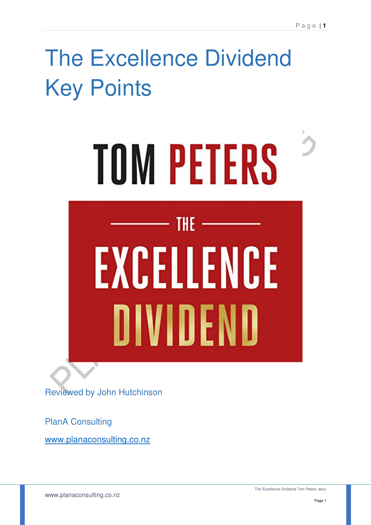# The Excellence Dividend Key Points



PlanA Consulting

www.planaconsulting.co.nz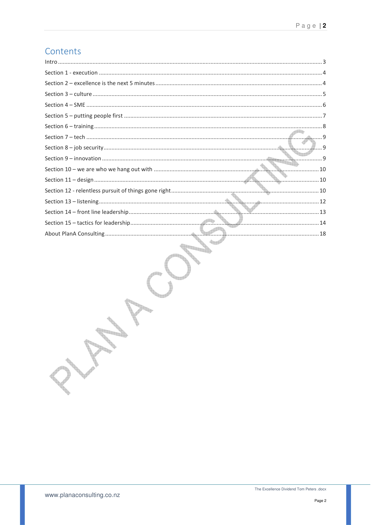# Contents

k.

**Service Report Follows** 

in Library **Contract of Contract of Contract of Contract of Contract of Contract of Contract of Contract of Contract of Contract of Contract of Contract of Contract of Contract of Contract of Contract of Contract of Contract of Contr Registre**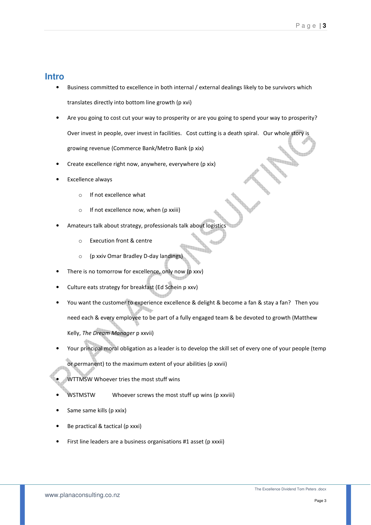#### **Intro**

- Business committed to excellence in both internal / external dealings likely to be survivors which translates directly into bottom line growth (p xvi)
- Are you going to cost cut your way to prosperity or are you going to spend your way to prosperity? Over invest in people, over invest in facilities. Cost cutting is a death spiral. Our whole story is growing revenue (Commerce Bank/Metro Bank (p xix)
- Create excellence right now, anywhere, everywhere (p xix)
- Excellence always
	- o If not excellence what
	- $\circ$  If not excellence now, when (p xxiii)
- Amateurs talk about strategy, professionals talk about logistics
	- o Execution front & centre
	- o (p xxiv Omar Bradley D-day landings)
- There is no tomorrow for excellence, only now (p xxv)
- Culture eats strategy for breakfast (Ed Schein p xxv)
- You want the customer to experience excellence & delight & become a fan & stay a fan? Then you need each & every employee to be part of a fully engaged team & be devoted to growth (Matthew Kelly, The Dream Manager p xxvii)
- Your principal moral obligation as a leader is to develop the skill set of every one of your people (temp
	- or permanent) to the maximum extent of your abilities (p xxvii)
	- WTTMSW Whoever tries the most stuff wins
- WSTMSTW Whoever screws the most stuff up wins (p xxviii)
- Same same kills (p xxix)
- Be practical & tactical (p xxxi)
- First line leaders are a business organisations #1 asset (p xxxii)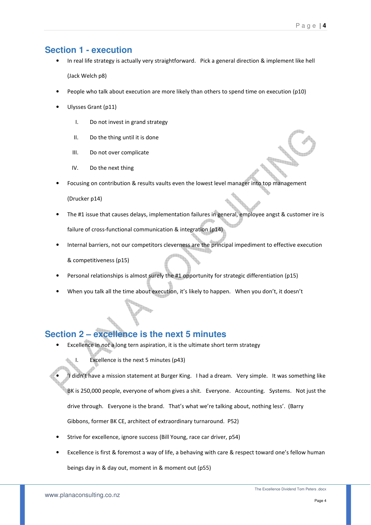## **Section 1 - execution**

- In real life strategy is actually very straightforward. Pick a general direction & implement like hell (Jack Welch p8)
- People who talk about execution are more likely than others to spend time on execution (p10)
- Ulysses Grant (p11)
	- I. Do not invest in grand strategy
	- II. Do the thing until it is done
	- III. Do not over complicate
	- IV. Do the next thing
- Focusing on contribution & results vaults even the lowest level manager into top management

(Drucker p14)

- The #1 issue that causes delays, implementation failures in general, employee angst & customer ire is failure of cross-functional communication & integration (p14)
- Internal barriers, not our competitors cleverness are the principal impediment to effective execution & competitiveness (p15)
- Personal relationships is almost surely the #1 opportunity for strategic differentiation (p15)
- When you talk all the time about execution, it's likely to happen. When you don't, it doesn't

## **Section 2 – excellence is the next 5 minutes**

- Excellence in not a long tern aspiration, it is the ultimate short term strategy
	- I. Excellence is the next 5 minutes (p43)

• 'I didn't have a mission statement at Burger King. I had a dream. Very simple. It was something like BK is 250,000 people, everyone of whom gives a shit. Everyone. Accounting. Systems. Not just the drive through. Everyone is the brand. That's what we're talking about, nothing less'. (Barry

Gibbons, former BK CE, architect of extraordinary turnaround. P52)

- Strive for excellence, ignore success (Bill Young, race car driver, p54)
- Excellence is first & foremost a way of life, a behaving with care & respect toward one's fellow human beings day in & day out, moment in & moment out (p55)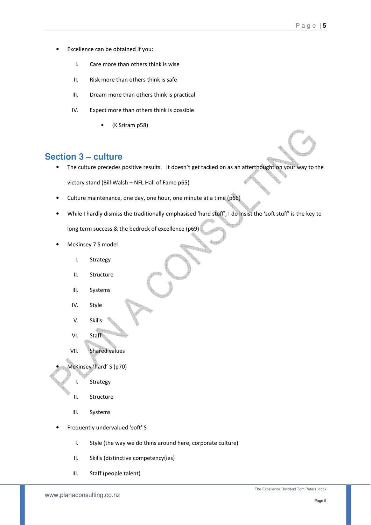- Excellence can be obtained if you:
	- I. Care more than others think is wise
	- II. Risk more than others think is safe
	- III. Dream more than others think is practical
	- IV. Expect more than others think is possible
		- (K Sriram p58)

## **Section 3 – culture**

- The culture precedes positive results. It doesn't get tacked on as an afterthought on your way to the victory stand (Bill Walsh – NFL Hall of Fame p65)
- Culture maintenance, one day, one hour, one minute at a time (p66)
- While I hardly dismiss the traditionally emphasised 'hard stuff', I do insist the 'soft stuff' is the key to long term success & the bedrock of excellence (p69)
- McKinsey 7 S model
	- I. Strategy
	- II. Structure
	- III. Systems
	- IV. Style
	- V. Skills
	- VI. Staff
	- VII. Shared values
- McKinsey 'hard' S (p70)
	- I. Strategy
	- II. Structure
	- III. Systems
- Frequently undervalued 'soft' S
	- I. Style (the way we do thins around here, corporate culture)
	- II. Skills (distinctive competency(ies)
	- III. Staff (people talent)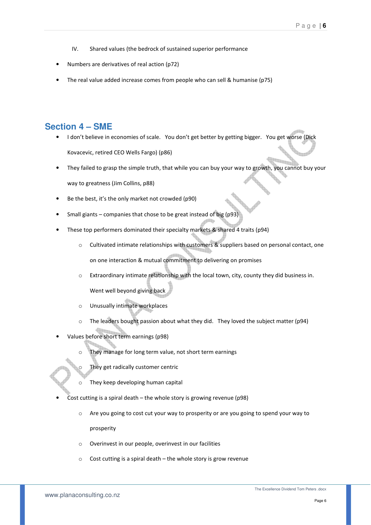- IV. Shared values (the bedrock of sustained superior performance
- Numbers are derivatives of real action (p72)
- The real value added increase comes from people who can sell & humanise (p75)

#### **Section 4 – SME**

- I don't believe in economies of scale. You don't get better by getting bigger. You get worse (Dick Kovacevic, retired CEO Wells Fargo) (p86)
- They failed to grasp the simple truth, that while you can buy your way to growth, you cannot buy your way to greatness (Jim Collins, p88)
- Be the best, it's the only market not crowded (p90)
- Small giants companies that chose to be great instead of big (p93)
- These top performers dominated their specialty markets & shared 4 traits (p94)
	- o Cultivated intimate relationships with customers & suppliers based on personal contact, one on one interaction & mutual commitment to delivering on promises
	- o Extraordinary intimate relationship with the local town, city, county they did business in. Went well beyond giving back
	- o Unusually intimate workplaces
	- o The leaders bought passion about what they did. They loved the subject matter (p94)
- Values before short term earnings (p98)
	- o They manage for long term value, not short term earnings
	- $\circ$  They get radically customer centric
	- $\circ$  They keep developing human capital
- Cost cutting is a spiral death the whole story is growing revenue (p98)
	- $\circ$  Are you going to cost cut your way to prosperity or are you going to spend your way to prosperity
	- o Overinvest in our people, overinvest in our facilities
	- $\circ$  Cost cutting is a spiral death the whole story is grow revenue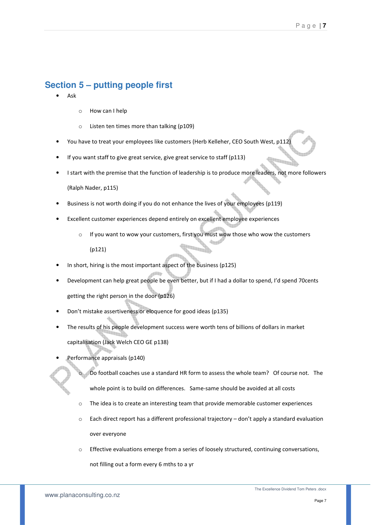## **Section 5 – putting people first**

- Ask
- o How can I help
- o Listen ten times more than talking (p109)
- You have to treat your employees like customers (Herb Kelleher, CEO South West, p112)
- If you want staff to give great service, give great service to staff (p113)
- I start with the premise that the function of leadership is to produce more leaders, not more followers (Ralph Nader, p115)
- Business is not worth doing if you do not enhance the lives of your employees (p119)
- Excellent customer experiences depend entirely on excellent employee experiences
	- o If you want to wow your customers, first you must wow those who wow the customers (p121)
- In short, hiring is the most important aspect of the business (p125)
- Development can help great people be even better, but if I had a dollar to spend, I'd spend 70cents getting the right person in the door (p126)
- Don't mistake assertiveness or eloquence for good ideas (p135)
- The results of his people development success were worth tens of billions of dollars in market capitalisation (Jack Welch CEO GE p138)
- Performance appraisals (p140)
	- Do football coaches use a standard HR form to assess the whole team? Of course not. The whole point is to build on differences. Same-same should be avoided at all costs
	- $\circ$  The idea is to create an interesting team that provide memorable customer experiences
	- $\circ$  Each direct report has a different professional trajectory don't apply a standard evaluation over everyone
	- $\circ$  Effective evaluations emerge from a series of loosely structured, continuing conversations, not filling out a form every 6 mths to a yr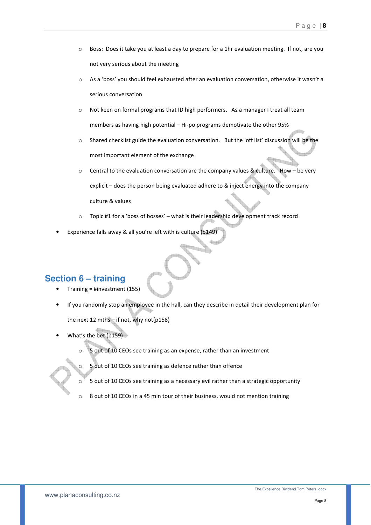- o Boss: Does it take you at least a day to prepare for a 1hr evaluation meeting. If not, are you not very serious about the meeting
- o As a 'boss' you should feel exhausted after an evaluation conversation, otherwise it wasn't a serious conversation
- $\circ$  Not keen on formal programs that ID high performers. As a manager I treat all team members as having high potential – Hi-po programs demotivate the other 95%
- o Shared checklist guide the evaluation conversation. But the 'off list' discussion will be the most important element of the exchange
- o Central to the evaluation conversation are the company values & culture. How be very explicit – does the person being evaluated adhere to & inject energy into the company culture & values
- o Topic #1 for a 'boss of bosses' what is their leadership development track record
- Experience falls away & all you're left with is culture (p149)

# **Section 6 – training**

- Training = #investment (155)
- If you randomly stop an employee in the hall, can they describe in detail their development plan for the next 12 mths – if not, why not(p158)
- What's the bet (p159)
	- o 5 out of 10 CEOs see training as an expense, rather than an investment

o 5 out of 10 CEOs see training as defence rather than offence

- 5 out of 10 CEOs see training as a necessary evil rather than a strategic opportunity
- $\circ$  8 out of 10 CEOs in a 45 min tour of their business, would not mention training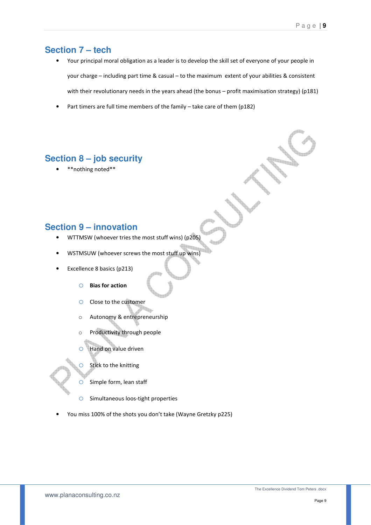## **Section 7 – tech**

- Your principal moral obligation as a leader is to develop the skill set of everyone of your people in your charge – including part time & casual – to the maximum extent of your abilities & consistent with their revolutionary needs in the years ahead (the bonus – profit maximisation strategy) (p181)
- Part timers are full time members of the family take care of them (p182)

## **Section 8 – job security**

\*\* nothing noted\*\*

#### **Section 9 – innovation**

- WTTMSW (whoever tries the most stuff wins) (p205)
- WSTMSUW (whoever screws the most stuff up wins)
- Excellence 8 basics (p213)
	- o Bias for action
	- o Close to the customer
	- o Autonomy & entrepreneurship
	- o Productivity through people
	- o Hand on value driven
	- $\circ$  Stick to the knitting
	- $\circ$  Simple form, lean staff
	- o Simultaneous loos-tight properties
- You miss 100% of the shots you don't take (Wayne Gretzky p225)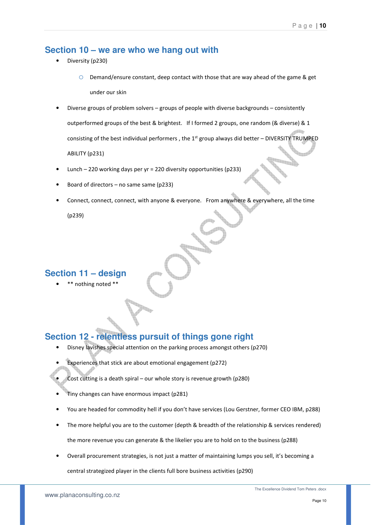#### **Section 10 – we are who we hang out with**

- Diversity (p230)
	- $\circ$  Demand/ensure constant, deep contact with those that are way ahead of the game & get under our skin
- Diverse groups of problem solvers groups of people with diverse backgrounds consistently outperformed groups of the best & brightest. If I formed 2 groups, one random (& diverse) & 1 consisting of the best individual performers, the 1<sup>st</sup> group always did better - DIVERSITY TRUMPED ABILITY (p231)
- Lunch 220 working days per yr = 220 diversity opportunities (p233)
- Board of directors no same same (p233)
- Connect, connect, connect, with anyone & everyone. From anywhere & everywhere, all the time

(p239)

#### **Section 11 – design**

\* nothing noted \*\*

## **Section 12 - relentless pursuit of things gone right**

- Disney lavishes special attention on the parking process amongst others (p270)
- Experiences that stick are about emotional engagement (p272)
- Cost cutting is a death spiral our whole story is revenue growth (p280)
- Tiny changes can have enormous impact (p281)
- You are headed for commodity hell if you don't have services (Lou Gerstner, former CEO IBM, p288)
- The more helpful you are to the customer (depth & breadth of the relationship & services rendered) the more revenue you can generate & the likelier you are to hold on to the business (p288)
- Overall procurement strategies, is not just a matter of maintaining lumps you sell, it's becoming a

central strategized player in the clients full bore business activities (p290)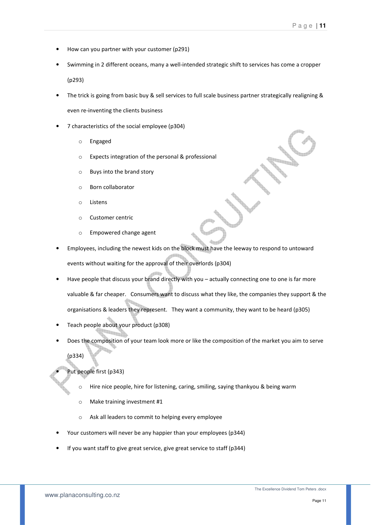- How can you partner with your customer (p291)
- Swimming in 2 different oceans, many a well-intended strategic shift to services has come a cropper (p293)
- The trick is going from basic buy & sell services to full scale business partner strategically realigning & even re-inventing the clients business
- 7 characteristics of the social employee (p304)
	- o Engaged
	- o Expects integration of the personal & professional
	- o Buys into the brand story
	- o Born collaborator
	- o Listens
	- o Customer centric
	- o Empowered change agent
- Employees, including the newest kids on the block must have the leeway to respond to untoward events without waiting for the approval of their overlords (p304)
- Have people that discuss your brand directly with you actually connecting one to one is far more valuable & far cheaper. Consumers want to discuss what they like, the companies they support & the organisations & leaders they represent. They want a community, they want to be heard (p305)
- Teach people about your product (p308)
- Does the composition of your team look more or like the composition of the market you aim to serve ٦ (p334)

#### Put people first (p343)

- $\circ$  Hire nice people, hire for listening, caring, smiling, saying thankyou & being warm
- o Make training investment #1
- o Ask all leaders to commit to helping every employee
- Your customers will never be any happier than your employees (p344)
- If you want staff to give great service, give great service to staff (p344)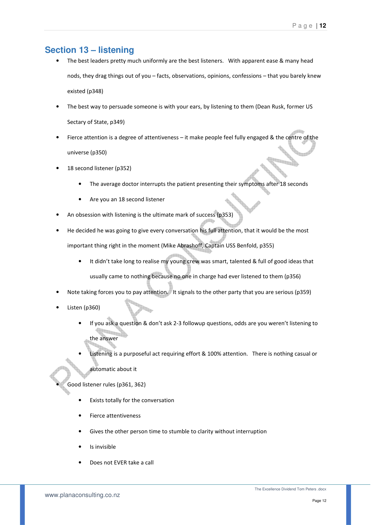## **Section 13 – listening**

- The best leaders pretty much uniformly are the best listeners. With apparent ease & many head nods, they drag things out of you – facts, observations, opinions, confessions – that you barely knew existed (p348)
- The best way to persuade someone is with your ears, by listening to them (Dean Rusk, former US Sectary of State, p349)
- Fierce attention is a degree of attentiveness it make people feel fully engaged & the centre of the universe (p350)
- 18 second listener (p352)
	- The average doctor interrupts the patient presenting their symptoms after 18 seconds
	- Are you an 18 second listener
- An obsession with listening is the ultimate mark of success (p353)

).<br>Indr

- He decided he was going to give every conversation his full attention, that it would be the most important thing right in the moment (Mike Abrashoff, Captain USS Benfold, p355)
	- It didn't take long to realise my young crew was smart, talented & full of good ideas that usually came to nothing because no one in charge had ever listened to them (p356)
- Note taking forces you to pay attention. It signals to the other party that you are serious (p359)
- Listen (p360)
	- If you ask a question & don't ask 2-3 followup questions, odds are you weren't listening to the answer
	- Listening is a purposeful act requiring effort & 100% attention. There is nothing casual or automatic about it
	-
	- Good listener rules (p361, 362)
		- Exists totally for the conversation
		- Fierce attentiveness
		- Gives the other person time to stumble to clarity without interruption
		- Is invisible
		- Does not EVER take a call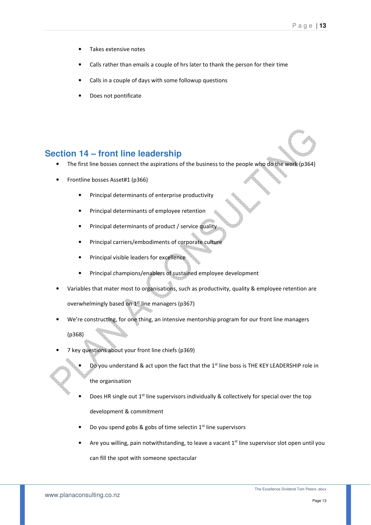- Takes extensive notes
- Calls rather than emails a couple of hrs later to thank the person for their time
- Calls in a couple of days with some followup questions
- Does not pontificate

#### **Section 14 – front line leadership**

- The first line bosses connect the aspirations of the business to the people who do the work (p364)
- Frontline bosses Asset#1 (p366)
	- Principal determinants of enterprise productivity
	- Principal determinants of employee retention
	- Principal determinants of product / service quality
	- Principal carriers/embodiments of corporate culture
	- Principal visible leaders for excellence
	- Principal champions/enablers of sustained employee development
- Variables that mater most to organisations, such as productivity, quality & employee retention are overwhelmingly based on 1<sup>st</sup> line managers (p367)
- We're constructing, for one thing, an intensive mentorship program for our front line managers

(p368)

• 7 key questions about your front line chiefs (p369)

**Barbara** 

- Do you understand & act upon the fact that the 1<sup>st</sup> line boss is THE KEY LEADERSHIP role in the organisation
- Does HR single out 1<sup>st</sup> line supervisors individually & collectively for special over the top development & commitment
- Do you spend gobs & gobs of time selectin 1st line supervisors
- Are you willing, pain notwithstanding, to leave a vacant  $1^{st}$  line supervisor slot open until you

can fill the spot with someone spectacular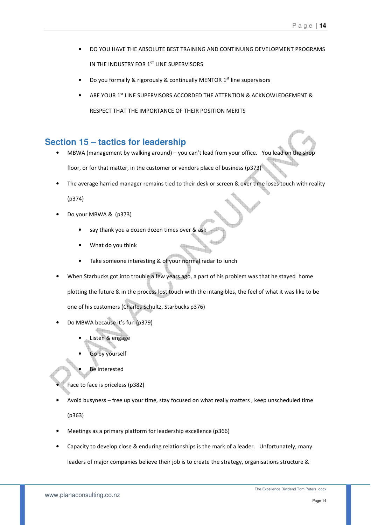- DO YOU HAVE THE ABSOLUTE BEST TRAINING AND CONTINUING DEVELOPMENT PROGRAMS IN THE INDUSTRY FOR 1ST LINE SUPERVISORS
- Do you formally & rigorously & continually MENTOR 1<sup>st</sup> line supervisors
- ARE YOUR 1st LINE SUPERVISORS ACCORDED THE ATTENTION & ACKNOWLEDGEMENT & RESPECT THAT THE IMPORTANCE OF THEIR POSITION MERITS

#### **Section 15 – tactics for leadership**

- MBWA (management by walking around) you can't lead from your office. You lead on the shop floor, or for that matter, in the customer or vendors place of business (p373)
- The average harried manager remains tied to their desk or screen & over time loses touch with reality

(p374)

- Do your MBWA & (p373)
	- say thank you a dozen dozen times over & ask
	- What do you think
	- Take someone interesting & of your normal radar to lunch
- When Starbucks got into trouble a few years ago, a part of his problem was that he stayed home plotting the future & in the process lost touch with the intangibles, the feel of what it was like to be one of his customers (Charles Schultz, Starbucks p376)
- Do MBWA because it's fun (p379)
	- Listen & engage
	- Go by yourself
	-
	- Be interested
- Face to face is priceless (p382)
- Avoid busyness free up your time, stay focused on what really matters , keep unscheduled time

(p363)

- Meetings as a primary platform for leadership excellence (p366)
- Capacity to develop close & enduring relationships is the mark of a leader. Unfortunately, many leaders of major companies believe their job is to create the strategy, organisations structure &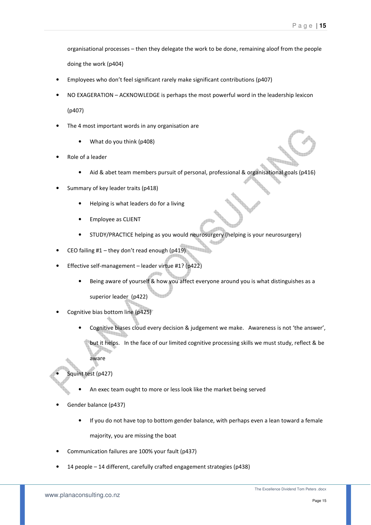organisational processes – then they delegate the work to be done, remaining aloof from the people doing the work (p404)

- Employees who don't feel significant rarely make significant contributions (p407)
- NO EXAGERATION ACKNOWLEDGE is perhaps the most powerful word in the leadership lexicon (p407)
- The 4 most important words in any organisation are
	- What do you think (p408)
- Role of a leader
	- Aid & abet team members pursuit of personal, professional & organisational goals (p416)
- Summary of key leader traits (p418)
	- Helping is what leaders do for a living
	- Employee as CLIENT
	- STUDY/PRACTICE helping as you would neurosurgery (helping is your neurosurgery)
- CEO failing  $#1$  they don't read enough (p419)
- Effective self-management leader virtue #1? (p422)
	- Being aware of yourself & how you affect everyone around you is what distinguishes as a

<u>an a</u>

superior leader (p422)

- Cognitive bias bottom line (p425)
	- Cognitive biases cloud every decision & judgement we make. Awareness is not 'the answer',

but it helps. In the face of our limited cognitive processing skills we must study, reflect & be

aware

Squint test (p427)

- An exec team ought to more or less look like the market being served
- Gender balance (p437)
	- If you do not have top to bottom gender balance, with perhaps even a lean toward a female majority, you are missing the boat
- Communication failures are 100% your fault (p437)
- 14 people 14 different, carefully crafted engagement strategies (p438)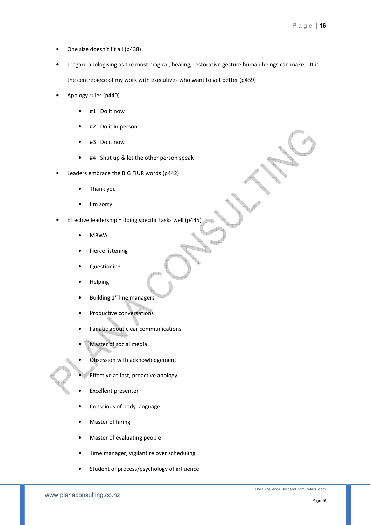- One size doesn't fit all (p438)
- I regard apologising as the most magical, healing, restorative gesture human beings can make. It is the centrepiece of my work with executives who want to get better (p439)
- Apology rules (p440)
	- #1 Do it now
	- #2 Do it in person
	- #3 Do it now
	- #4 Shut up & let the other person speak
- Leaders embrace the BIG FIUR words (p442)
	- Thank you
	- I'm sorry
- Effective leadership = doing specific tasks well (p445)
	- MBWA
	- Fierce listening
	- Questioning
	- Helping
	- Building 1<sup>st</sup> line managers
	- Productive conversations
	- Fanatic about clear communications
	- Master of social media
	- Obsession with acknowledgement
	- Effective at fast, proactive apology
	- Excellent presenter
	- Conscious of body language
	- Master of hiring
	- Master of evaluating people
	- Time manager, vigilant re over scheduling
	- Student of process/psychology of influence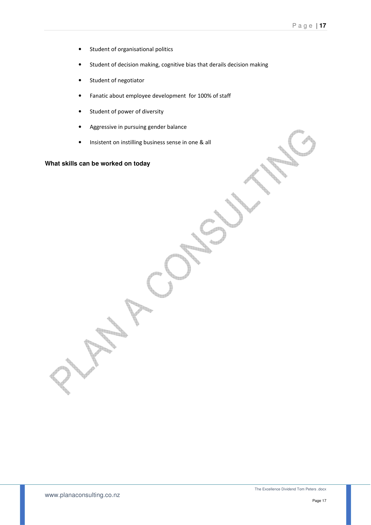- Student of organisational politics
- Student of decision making, cognitive bias that derails decision making
- Student of negotiator
- Fanatic about employee development for 100% of staff
- Student of power of diversity
- Aggressive in pursuing gender balance
- Insistent on instilling business sense in one & all

#### **What skills can be worked on today**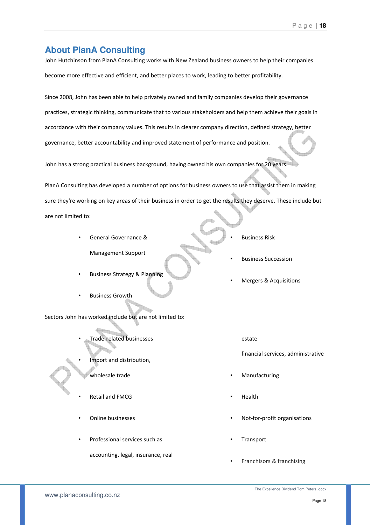## **About PlanA Consulting**

John Hutchinson from PlanA Consulting works with New Zealand business owners to help their companies become more effective and efficient, and better places to work, leading to better profitability.

Since 2008, John has been able to help privately owned and family companies develop their governance practices, strategic thinking, communicate that to various stakeholders and help them achieve their goals in accordance with their company values. This results in clearer company direction, defined strategy, better governance, better accountability and improved statement of performance and position.

John has a strong practical business background, having owned his own companies for 20 years.

PlanA Consulting has developed a number of options for business owners to use that assist them in making sure they're working on key areas of their business in order to get the results they deserve. These include but are not limited to:

- General Governance & Management Support
- Business Strategy & Planning
- Business Growth
- Sectors John has worked include but are not limited to:
	- Trade-related businesses
		- Import and distribution,
		- wholesale trade
	- Retail and FMCG
	- Online businesses
	- Professional services such as
		- accounting, legal, insurance, real
- Business Risk
- Business Succession
- Mergers & Acquisitions
	- estate

financial services, administrative

- **Manufacturing**
- Health
- Not-for-profit organisations
- **Transport**
- Franchisors & franchising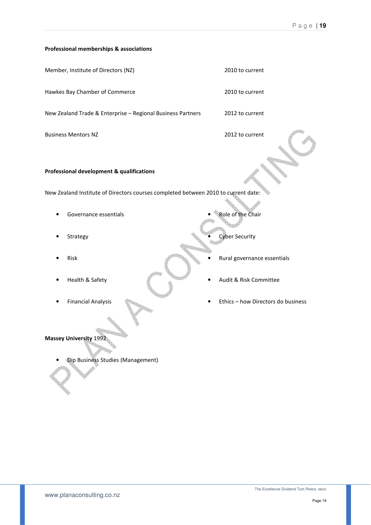#### Professional memberships & associations

| <b>Professional development &amp; qualifications</b>        |                 |
|-------------------------------------------------------------|-----------------|
|                                                             |                 |
| <b>Business Mentors NZ</b>                                  | 2012 to current |
| New Zealand Trade & Enterprise - Regional Business Partners | 2012 to current |
| Hawkes Bay Chamber of Commerce                              | 2010 to current |
| Member, Institute of Directors (NZ)                         | 2010 to current |

New Zealand Institute of Directors courses completed between 2010 to current date:

- Governance essentials
- **Strategy**
- Risk
- Health & Safety
- Financial Analysis
- Role of the Chair
	- **Cyber Security**
	- Rural governance essentials
- Audit & Risk Committee
- Ethics how Directors do business

Massey University 1992

34 • Dip Business Studies (Management)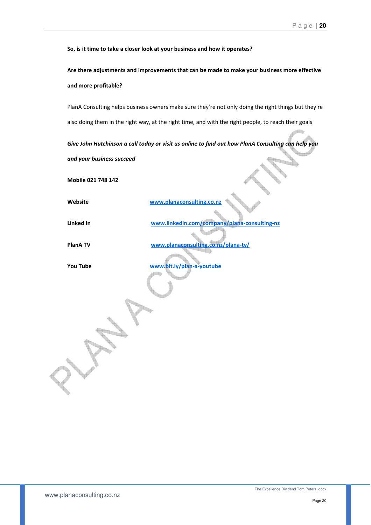So, is it time to take a closer look at your business and how it operates?

Are there adjustments and improvements that can be made to make your business more effective and more profitable?

PlanA Consulting helps business owners make sure they're not only doing the right things but they're also doing them in the right way, at the right time, and with the right people, to reach their goals

Give John Hutchinson a call today or visit us online to find out how PlanA Consulting can help you and your business succeed

Mobile 021 748 142

Website www.planaconsulting.co.nz

Linked In www.linkedin.com/company/plana-consulting-nz

PlanA TV www.planaconsulting.co.nz/plana-tv/

You Tube www.bit.ly/plan-a-youtube